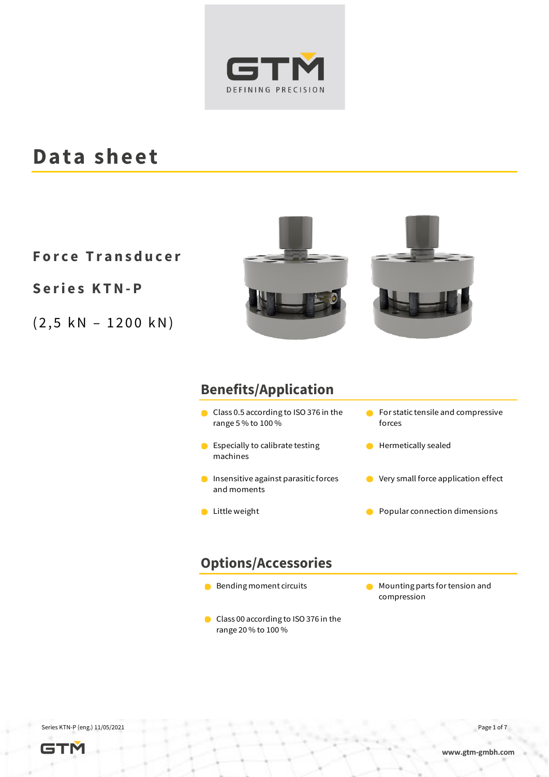

#### **Data sheet**

**F o r c e T r a n s d u c e r**

**S e r i e s K T N- P**

 $(2, 5 kN - 1200 kN)$ 



#### **Benefits/Application**

- Class 0.5 according to ISO 376 in the range 5 % to 100 %
- **Especially to calibrate testing** machines
- **O** Insensitive against parasitic forces and moments
- 
- **C** For static tensile and compressive forces
- **Hermetically sealed**
- **O** Very small force application effect
- Little weight Popular connection dimensions

#### **Options/Accessories**

- 
- Class 00 according to ISO 376 in the range 20 % to 100 %
- Bending moment circuits Mounting parts for tension and compression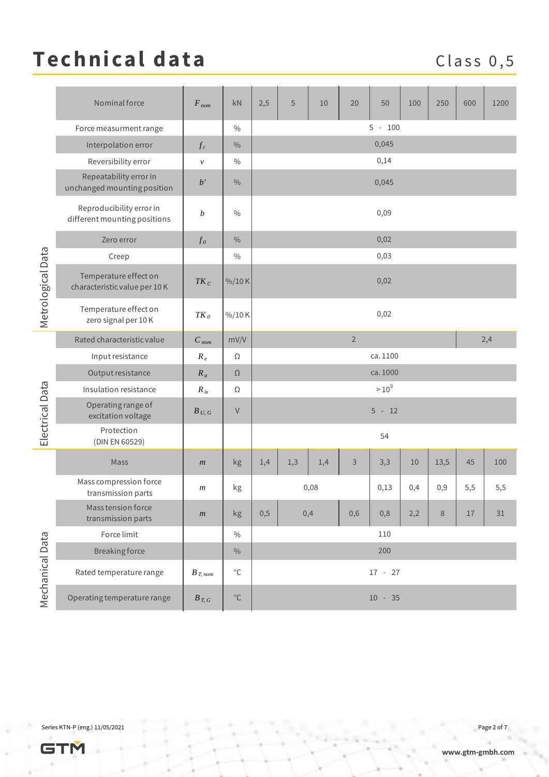## Technical data Class 0,5

|                   | Nominal force                                            | $F_{nom}$        | kN                | 2,5                   | 5        | 10  | 20   | 50  | 100 | 250  | 600 | 1200 |
|-------------------|----------------------------------------------------------|------------------|-------------------|-----------------------|----------|-----|------|-----|-----|------|-----|------|
| Metrological Data | Force measurment range                                   |                  | $\%$              | $5 - 100$             |          |     |      |     |     |      |     |      |
|                   | Interpolation error                                      | $f_c$            | $\frac{0}{0}$     | 0,045                 |          |     |      |     |     |      |     |      |
|                   | Reversibility error                                      | $\mathcal V$     | $\%$              | 0,14                  |          |     |      |     |     |      |     |      |
|                   | Repeatability error in<br>unchanged mounting position    | b'               | $\frac{0}{0}$     |                       | 0,045    |     |      |     |     |      |     |      |
|                   | Reproducibility error in<br>different mounting positions | $\boldsymbol{b}$ | $\%$              |                       | 0,09     |     |      |     |     |      |     |      |
|                   | Zero error                                               | $f_{0}$          | $\%$              | 0,02                  |          |     |      |     |     |      |     |      |
|                   | Creep                                                    |                  | $\%$              | 0,03                  |          |     |      |     |     |      |     |      |
|                   | Temperature effect on<br>characteristic value per 10K    | $TK_C$           | %/10K             | 0,02                  |          |     |      |     |     |      |     |      |
|                   | Temperature effect on<br>zero signal per 10K             | $TK_0$           | %/10K             | 0,02                  |          |     |      |     |     |      |     |      |
| Electrical Data   | Rated characteristic value                               | $C_{nom}$        | mV/V              | $\overline{2}$<br>2,4 |          |     |      |     |     |      |     |      |
|                   | Input resistance                                         | $R_e$            | Ω                 | ca. 1100              |          |     |      |     |     |      |     |      |
|                   | Output resistance                                        | $R_a$            | $\Omega$          | ca. 1000              |          |     |      |     |     |      |     |      |
|                   | Insulation resistance                                    | $R_{is}$         | Ω                 | $>10^{9}$             |          |     |      |     |     |      |     |      |
|                   | Operating range of<br>excitation voltage                 | $B_{U, G}$       | $\vee$            |                       | $5 - 12$ |     |      |     |     |      |     |      |
|                   | Protection<br>(DIN EN 60529)                             |                  |                   | 54                    |          |     |      |     |     |      |     |      |
| Mechanical Data   | Mass                                                     | m                | kg                | 1,4                   | 1,3      | 1,4 | 3    | 3,3 | 10  | 13,5 | 45  | 100  |
|                   | Mass compression force<br>transmission parts             | $\boldsymbol{m}$ | kg                | 0,08                  |          |     | 0,13 | 0,4 | 0,9 | 5,5  | 5,5 |      |
|                   | Mass tension force<br>transmission parts                 | m                | kg                | 0,5                   | 0,4      |     | 0,6  | 0,8 | 2,2 | 8    | 17  | 31   |
|                   | Force limit                                              |                  | $\%$              | 110                   |          |     |      |     |     |      |     |      |
|                   | <b>Breaking force</b>                                    |                  | $\%$              | 200                   |          |     |      |     |     |      |     |      |
|                   | Rated temperature range                                  | $B_{T, nom}$     | $^{\circ}{\rm C}$ | $17 - 27$             |          |     |      |     |     |      |     |      |
|                   | Operating temperature range                              | $B_{T, G}$       | $^{\circ}{\rm C}$ | $10 - 35$             |          |     |      |     |     |      |     |      |

Series KTN-P (eng.) 11/05/2021 Page 2 of 7

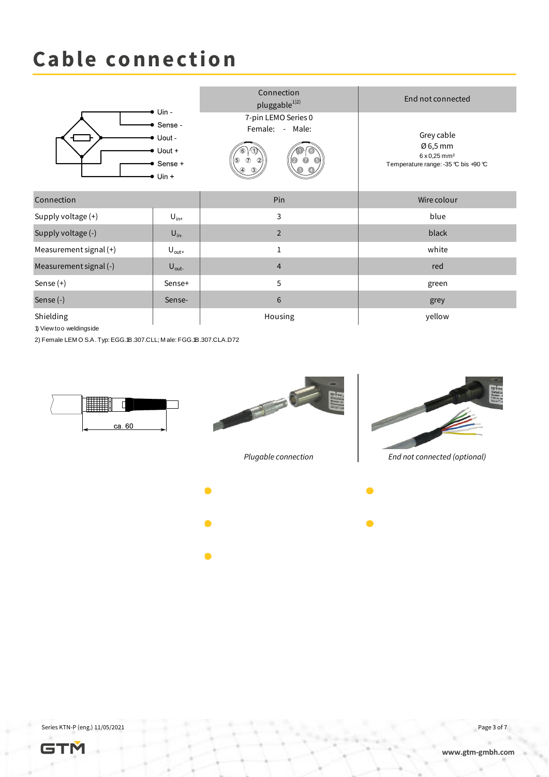### **Cable connection**



1) View too weldingside





- 
- 
- 



*Plugable connection End not connected (optional)*

Series KTN-P (eng.) 11/05/2021 Page 3 of 7

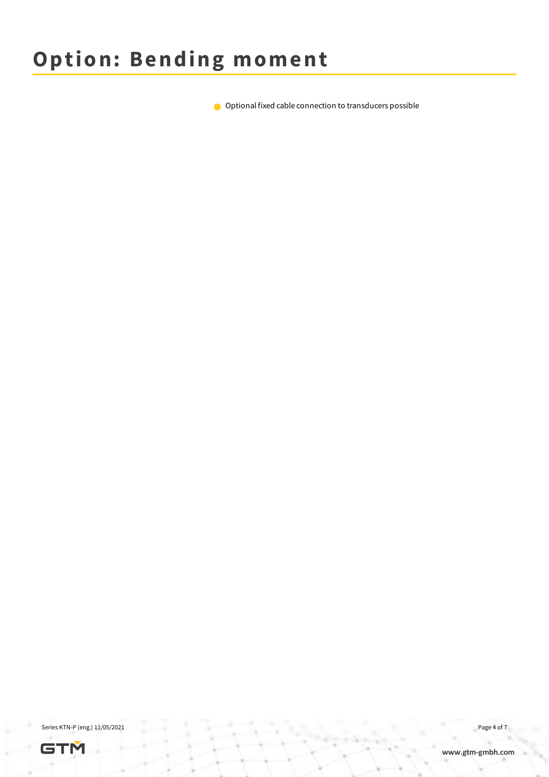Optional fixed cable connection to transducers possible

Series KTN-P (eng.) 11/05/2021 Page 4 of 7

**[www.gtm-gmbh.com](http://www.gtm-gmbh.com/)**

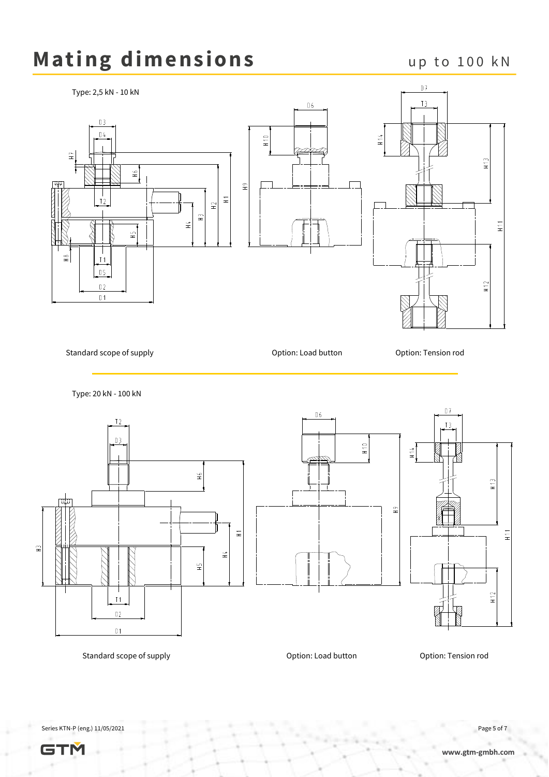# Mating dimensions up to 100 kN



Series KTN-P (eng.) 11/05/2021 Page 5 of 7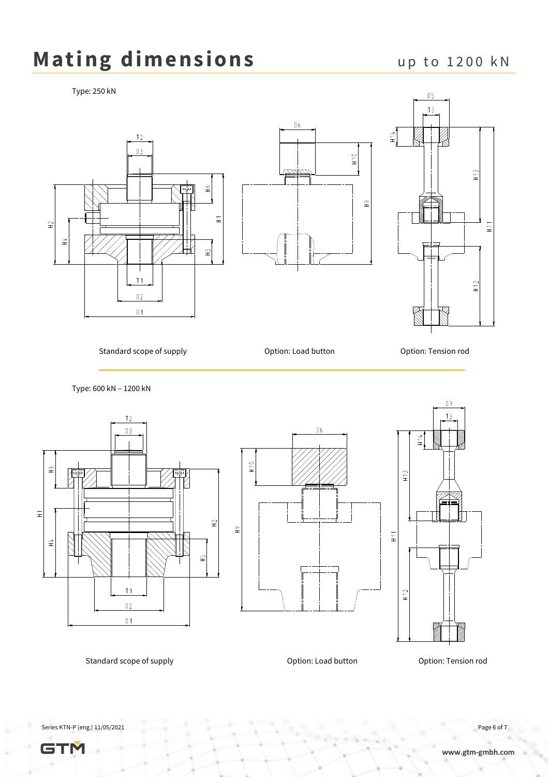### Mating dimensions up to 1200 kN

Type: 250 kN





Standard scope of supply **Standard scope of supply** Option: Load button **Constanting Constanting Constanting Constanting Constanting Constanting Constanting Constanting Constanting Constanting Constanting Constanting Const** 

Type: 600 kN – 1200 kN





 $0\,6$ 

 $H10$ 

 $\frac{9}{11}$ 



Standard scope of supply extending the Coption: Load button Coption: Tension rod